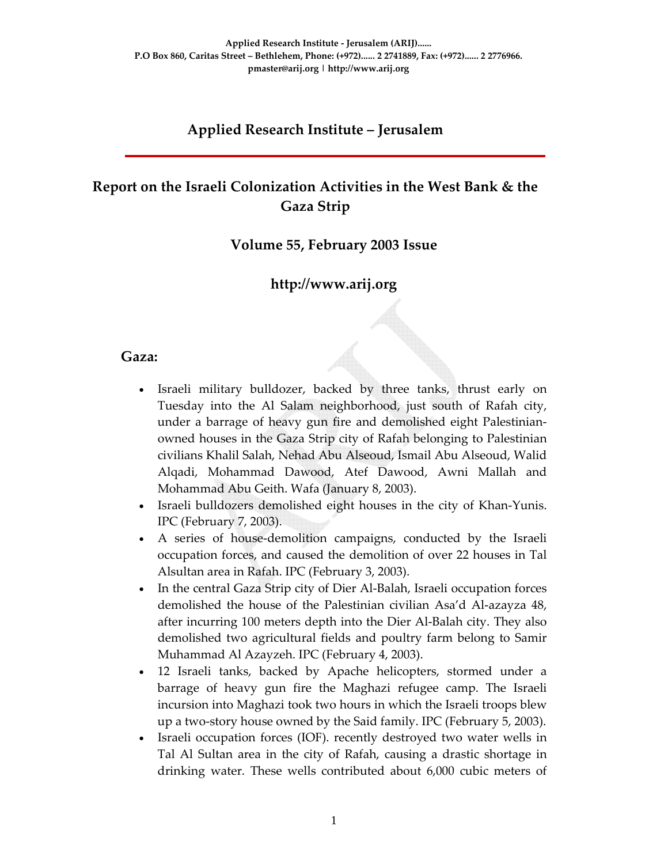#### **Applied Research Institute – Jerusalem**

# **Report on the Israeli Colonization Activities in the West Bank & the Gaza Strip**

#### **Volume 55, February 2003 Issue**

#### **http://www.arij.org**

#### **Gaza:**

- Israeli military bulldozer, backed by three tanks, thrust early on Tuesday into the Al Salam neighborhood, just south of Rafah city, under a barrage of heavy gun fire and demolished eight Palestinian‐ owned houses in the Gaza Strip city of Rafah belonging to Palestinian civilians Khalil Salah, Nehad Abu Alseoud, Ismail Abu Alseoud, Walid Alqadi, Mohammad Dawood, Atef Dawood, Awni Mallah and Mohammad Abu Geith. Wafa (January 8, 2003).
- Israeli bulldozers demolished eight houses in the city of Khan‐Yunis. IPC (February 7, 2003).
- A series of house-demolition campaigns, conducted by the Israeli occupation forces, and caused the demolition of over 22 houses in Tal Alsultan area in Rafah. IPC (February 3, 2003).
- In the central Gaza Strip city of Dier Al-Balah, Israeli occupation forces demolished the house of the Palestinian civilian Asa'd Al‐azayza 48, after incurring 100 meters depth into the Dier Al‐Balah city. They also demolished two agricultural fields and poultry farm belong to Samir Muhammad Al Azayzeh. IPC (February 4, 2003).
- 12 Israeli tanks, backed by Apache helicopters, stormed under a barrage of heavy gun fire the Maghazi refugee camp. The Israeli incursion into Maghazi took two hours in which the Israeli troops blew up a two‐story house owned by the Said family. IPC (February 5, 2003).
- Israeli occupation forces (IOF). recently destroyed two water wells in Tal Al Sultan area in the city of Rafah, causing a drastic shortage in drinking water. These wells contributed about 6,000 cubic meters of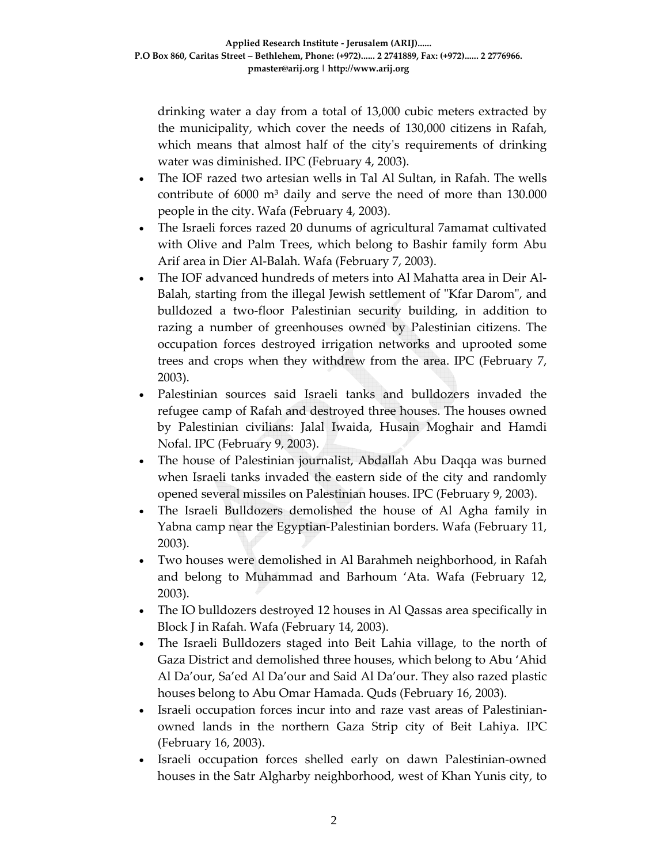drinking water a day from a total of 13,000 cubic meters extracted by the municipality, which cover the needs of 130,000 citizens in Rafah, which means that almost half of the city's requirements of drinking water was diminished. IPC (February 4, 2003).

- The IOF razed two artesian wells in Tal Al Sultan, in Rafah. The wells contribute of 6000 m<sup>3</sup> daily and serve the need of more than 130.000 people in the city. Wafa (February 4, 2003).
- The Israeli forces razed 20 dunums of agricultural 7amamat cultivated with Olive and Palm Trees, which belong to Bashir family form Abu Arif area in Dier Al‐Balah. Wafa (February 7, 2003).
- The IOF advanced hundreds of meters into Al Mahatta area in Deir Al‐ Balah, starting from the illegal Jewish settlement of "Kfar Darom", and bulldozed a two‐floor Palestinian security building, in addition to razing a number of greenhouses owned by Palestinian citizens. The occupation forces destroyed irrigation networks and uprooted some trees and crops when they withdrew from the area. IPC (February 7, 2003).
- Palestinian sources said Israeli tanks and bulldozers invaded the refugee camp of Rafah and destroyed three houses. The houses owned by Palestinian civilians: Jalal Iwaida, Husain Moghair and Hamdi Nofal. IPC (February 9, 2003).
- The house of Palestinian journalist, Abdallah Abu Daqqa was burned when Israeli tanks invaded the eastern side of the city and randomly opened several missiles on Palestinian houses. IPC (February 9, 2003).
- The Israeli Bulldozers demolished the house of Al Agha family in Yabna camp near the Egyptian‐Palestinian borders. Wafa (February 11, 2003).
- Two houses were demolished in Al Barahmeh neighborhood, in Rafah and belong to Muhammad and Barhoum 'Ata. Wafa (February 12, 2003).
- The IO bulldozers destroyed 12 houses in Al Qassas area specifically in Block J in Rafah. Wafa (February 14, 2003).
- The Israeli Bulldozers staged into Beit Lahia village, to the north of Gaza District and demolished three houses, which belong to Abu 'Ahid Al Da'our, Sa'ed Al Da'our and Said Al Da'our. They also razed plastic houses belong to Abu Omar Hamada. Quds (February 16, 2003).
- Israeli occupation forces incur into and raze vast areas of Palestinian‐ owned lands in the northern Gaza Strip city of Beit Lahiya. IPC (February 16, 2003).
- Israeli occupation forces shelled early on dawn Palestinian‐owned houses in the Satr Algharby neighborhood, west of Khan Yunis city, to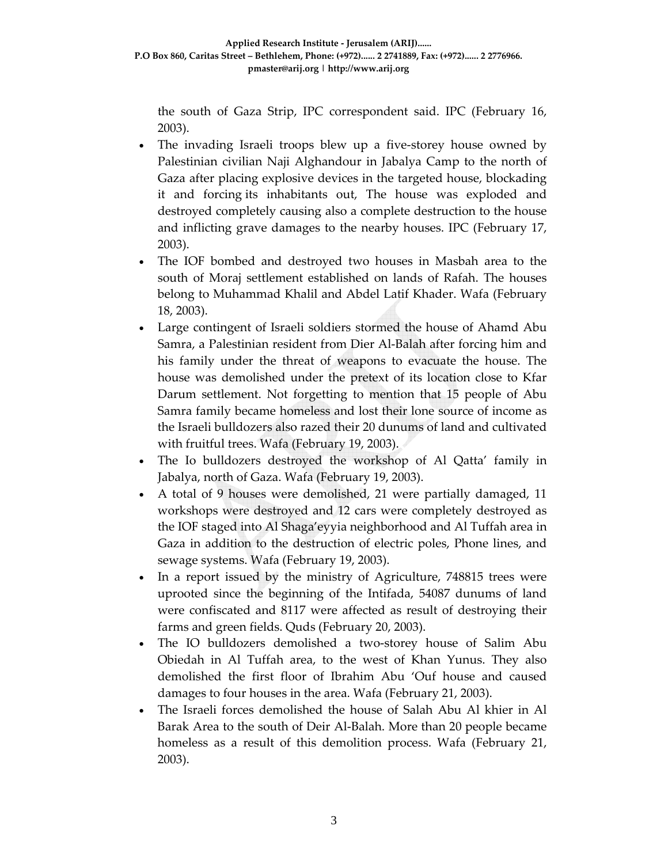the south of Gaza Strip, IPC correspondent said. IPC (February 16, 2003).

- The invading Israeli troops blew up a five-storey house owned by Palestinian civilian Naji Alghandour in Jabalya Camp to the north of Gaza after placing explosive devices in the targeted house, blockading it and forcing its inhabitants out, The house was exploded and destroyed completely causing also a complete destruction to the house and inflicting grave damages to the nearby houses. IPC (February 17, 2003).
- The IOF bombed and destroyed two houses in Masbah area to the south of Moraj settlement established on lands of Rafah. The houses belong to Muhammad Khalil and Abdel Latif Khader. Wafa (February 18, 2003).
- Large contingent of Israeli soldiers stormed the house of Ahamd Abu Samra, a Palestinian resident from Dier Al‐Balah after forcing him and his family under the threat of weapons to evacuate the house. The house was demolished under the pretext of its location close to Kfar Darum settlement. Not forgetting to mention that 15 people of Abu Samra family became homeless and lost their lone source of income as the Israeli bulldozers also razed their 20 dunums of land and cultivated with fruitful trees. Wafa (February 19, 2003).
- The Io bulldozers destroyed the workshop of Al Qatta' family in Jabalya, north of Gaza. Wafa (February 19, 2003).
- A total of 9 houses were demolished, 21 were partially damaged, 11 workshops were destroyed and 12 cars were completely destroyed as the IOF staged into Al Shaga'eyyia neighborhood and Al Tuffah area in Gaza in addition to the destruction of electric poles, Phone lines, and sewage systems. Wafa (February 19, 2003).
- In a report issued by the ministry of Agriculture, 748815 trees were uprooted since the beginning of the Intifada, 54087 dunums of land were confiscated and 8117 were affected as result of destroying their farms and green fields. Quds (February 20, 2003).
- The IO bulldozers demolished a two-storey house of Salim Abu Obiedah in Al Tuffah area, to the west of Khan Yunus. They also demolished the first floor of Ibrahim Abu 'Ouf house and caused damages to four houses in the area. Wafa (February 21, 2003).
- The Israeli forces demolished the house of Salah Abu Al khier in Al Barak Area to the south of Deir Al‐Balah. More than 20 people became homeless as a result of this demolition process. Wafa (February 21, 2003).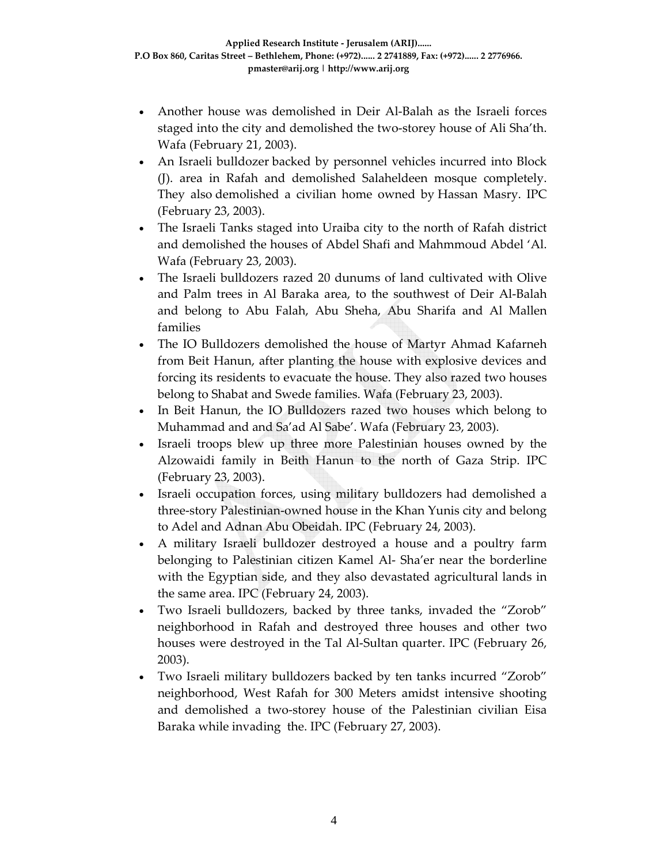- Another house was demolished in Deir Al‐Balah as the Israeli forces staged into the city and demolished the two‐storey house of Ali Sha'th. Wafa (February 21, 2003).
- An Israeli bulldozer backed by personnel vehicles incurred into Block (J). area in Rafah and demolished Salaheldeen mosque completely. They also demolished a civilian home owned by Hassan Masry. IPC (February 23, 2003).
- The Israeli Tanks staged into Uraiba city to the north of Rafah district and demolished the houses of Abdel Shafi and Mahmmoud Abdel 'Al. Wafa (February 23, 2003).
- The Israeli bulldozers razed 20 dunums of land cultivated with Olive and Palm trees in Al Baraka area, to the southwest of Deir Al‐Balah and belong to Abu Falah, Abu Sheha, Abu Sharifa and Al Mallen families
- The IO Bulldozers demolished the house of Martyr Ahmad Kafarneh from Beit Hanun, after planting the house with explosive devices and forcing its residents to evacuate the house. They also razed two houses belong to Shabat and Swede families. Wafa (February 23, 2003).
- In Beit Hanun, the IO Bulldozers razed two houses which belong to Muhammad and and Sa'ad Al Sabe'. Wafa (February 23, 2003).
- Israeli troops blew up three more Palestinian houses owned by the Alzowaidi family in Beith Hanun to the north of Gaza Strip. IPC (February 23, 2003).
- Israeli occupation forces, using military bulldozers had demolished a three‐story Palestinian‐owned house in the Khan Yunis city and belong to Adel and Adnan Abu Obeidah. IPC (February 24, 2003).
- A military Israeli bulldozer destroyed a house and a poultry farm belonging to Palestinian citizen Kamel Al‐ Sha'er near the borderline with the Egyptian side, and they also devastated agricultural lands in the same area. IPC (February 24, 2003).
- Two Israeli bulldozers, backed by three tanks, invaded the "Zorob" neighborhood in Rafah and destroyed three houses and other two houses were destroyed in the Tal Al-Sultan quarter. IPC (February 26, 2003).
- Two Israeli military bulldozers backed by ten tanks incurred "Zorob" neighborhood, West Rafah for 300 Meters amidst intensive shooting and demolished a two‐storey house of the Palestinian civilian Eisa Baraka while invading the. IPC (February 27, 2003).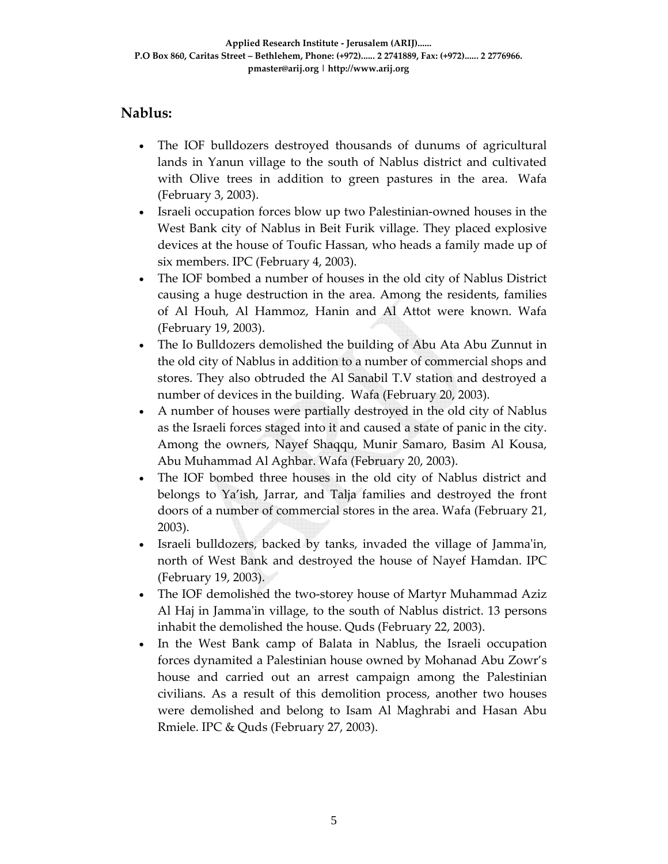## **Nablus:**

- The IOF bulldozers destroyed thousands of dunums of agricultural lands in Yanun village to the south of Nablus district and cultivated with Olive trees in addition to green pastures in the area. Wafa (February 3, 2003).
- Israeli occupation forces blow up two Palestinian-owned houses in the West Bank city of Nablus in Beit Furik village. They placed explosive devices at the house of Toufic Hassan, who heads a family made up of six members. IPC (February 4, 2003).
- The IOF bombed a number of houses in the old city of Nablus District causing a huge destruction in the area. Among the residents, families of Al Houh, Al Hammoz, Hanin and Al Attot were known. Wafa (February 19, 2003).
- The Io Bulldozers demolished the building of Abu Ata Abu Zunnut in the old city of Nablus in addition to a number of commercial shops and stores. They also obtruded the Al Sanabil T.V station and destroyed a number of devices in the building. Wafa (February 20, 2003).
- A number of houses were partially destroyed in the old city of Nablus as the Israeli forces staged into it and caused a state of panic in the city. Among the owners, Nayef Shaqqu, Munir Samaro, Basim Al Kousa, Abu Muhammad Al Aghbar. Wafa (February 20, 2003).
- The IOF bombed three houses in the old city of Nablus district and belongs to Ya'ish, Jarrar, and Talja families and destroyed the front doors of a number of commercial stores in the area. Wafa (February 21, 2003).
- Israeli bulldozers, backed by tanks, invaded the village of Jammaʹin, north of West Bank and destroyed the house of Nayef Hamdan. IPC (February 19, 2003).
- The IOF demolished the two-storey house of Martyr Muhammad Aziz Al Haj in Jamma'in village, to the south of Nablus district. 13 persons inhabit the demolished the house. Quds (February 22, 2003).
- In the West Bank camp of Balata in Nablus, the Israeli occupation forces dynamited a Palestinian house owned by Mohanad Abu Zowr's house and carried out an arrest campaign among the Palestinian civilians. As a result of this demolition process, another two houses were demolished and belong to Isam Al Maghrabi and Hasan Abu Rmiele. IPC & Quds (February 27, 2003).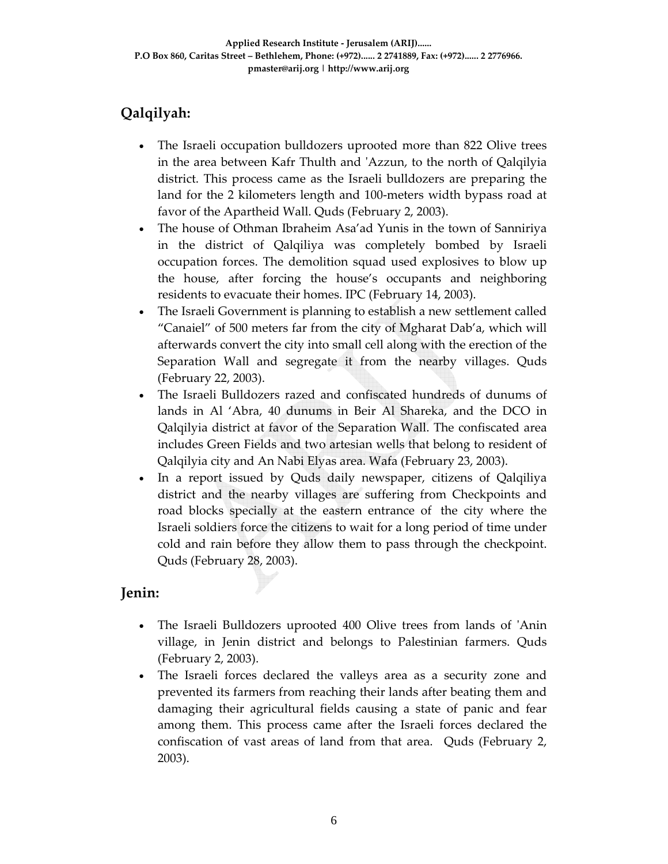# **Qalqilyah:**

- The Israeli occupation bulldozers uprooted more than 822 Olive trees in the area between Kafr Thulth and ʹAzzun, to the north of Qalqilyia district. This process came as the Israeli bulldozers are preparing the land for the 2 kilometers length and 100‐meters width bypass road at favor of the Apartheid Wall. Quds (February 2, 2003).
- The house of Othman Ibraheim Asa'ad Yunis in the town of Sanniriya in the district of Qalqiliya was completely bombed by Israeli occupation forces. The demolition squad used explosives to blow up the house, after forcing the house's occupants and neighboring residents to evacuate their homes. IPC (February 14, 2003).
- The Israeli Government is planning to establish a new settlement called "Canaiel" of 500 meters far from the city of Mgharat Dab'a, which will afterwards convert the city into small cell along with the erection of the Separation Wall and segregate it from the nearby villages. Quds (February 22, 2003).
- The Israeli Bulldozers razed and confiscated hundreds of dunums of lands in Al 'Abra, 40 dunums in Beir Al Shareka, and the DCO in Qalqilyia district at favor of the Separation Wall. The confiscated area includes Green Fields and two artesian wells that belong to resident of Qalqilyia city and An Nabi Elyas area. Wafa (February 23, 2003).
- In a report issued by Quds daily newspaper, citizens of Qalqiliya district and the nearby villages are suffering from Checkpoints and road blocks specially at the eastern entrance of the city where the Israeli soldiers force the citizens to wait for a long period of time under cold and rain before they allow them to pass through the checkpoint. Quds (February 28, 2003).

## **Jenin:**

- The Israeli Bulldozers uprooted 400 Olive trees from lands of 'Anin village, in Jenin district and belongs to Palestinian farmers. Quds (February 2, 2003).
- The Israeli forces declared the valleys area as a security zone and prevented its farmers from reaching their lands after beating them and damaging their agricultural fields causing a state of panic and fear among them. This process came after the Israeli forces declared the confiscation of vast areas of land from that area. Quds (February 2, 2003).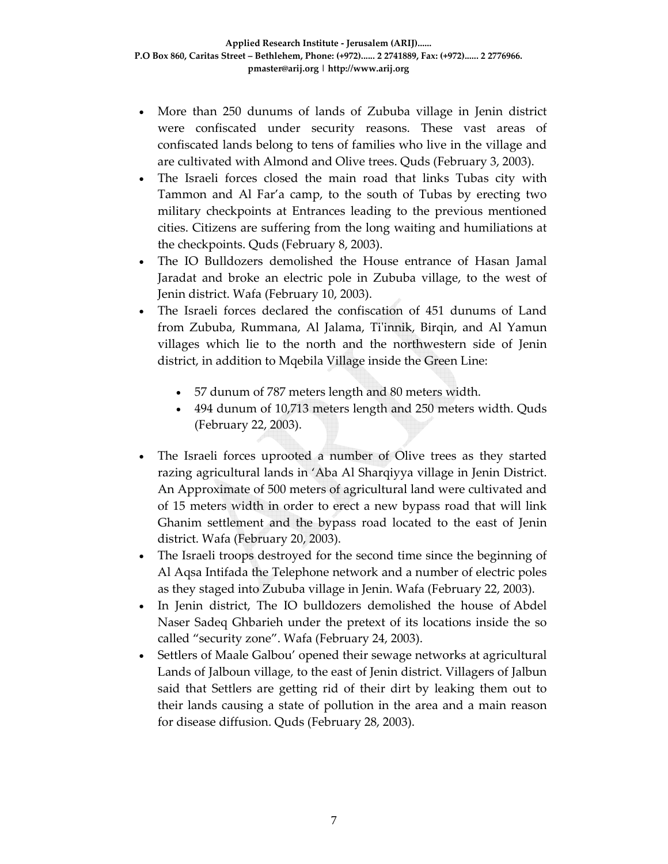- More than 250 dunums of lands of Zububa village in Jenin district were confiscated under security reasons. These vast areas of confiscated lands belong to tens of families who live in the village and are cultivated with Almond and Olive trees. Quds (February 3, 2003).
- The Israeli forces closed the main road that links Tubas city with Tammon and Al Far'a camp, to the south of Tubas by erecting two military checkpoints at Entrances leading to the previous mentioned cities. Citizens are suffering from the long waiting and humiliations at the checkpoints. Quds (February 8, 2003).
- The IO Bulldozers demolished the House entrance of Hasan Jamal Jaradat and broke an electric pole in Zububa village, to the west of Jenin district. Wafa (February 10, 2003).
- The Israeli forces declared the confiscation of 451 dunums of Land from Zububa, Rummana, Al Jalama, Ti'innik, Birqin, and Al Yamun villages which lie to the north and the northwestern side of Jenin district, in addition to Mqebila Village inside the Green Line:
	- 57 dunum of 787 meters length and 80 meters width.
	- 494 dunum of 10,713 meters length and 250 meters width. Quds (February 22, 2003).
- The Israeli forces uprooted a number of Olive trees as they started razing agricultural lands in 'Aba Al Sharqiyya village in Jenin District. An Approximate of 500 meters of agricultural land were cultivated and of 15 meters width in order to erect a new bypass road that will link Ghanim settlement and the bypass road located to the east of Jenin district. Wafa (February 20, 2003).
- The Israeli troops destroyed for the second time since the beginning of Al Aqsa Intifada the Telephone network and a number of electric poles as they staged into Zububa village in Jenin. Wafa (February 22, 2003).
- In Jenin district, The IO bulldozers demolished the house of Abdel Naser Sadeq Ghbarieh under the pretext of its locations inside the so called "security zone". Wafa (February 24, 2003).
- Settlers of Maale Galbou' opened their sewage networks at agricultural Lands of Jalboun village, to the east of Jenin district. Villagers of Jalbun said that Settlers are getting rid of their dirt by leaking them out to their lands causing a state of pollution in the area and a main reason for disease diffusion. Quds (February 28, 2003).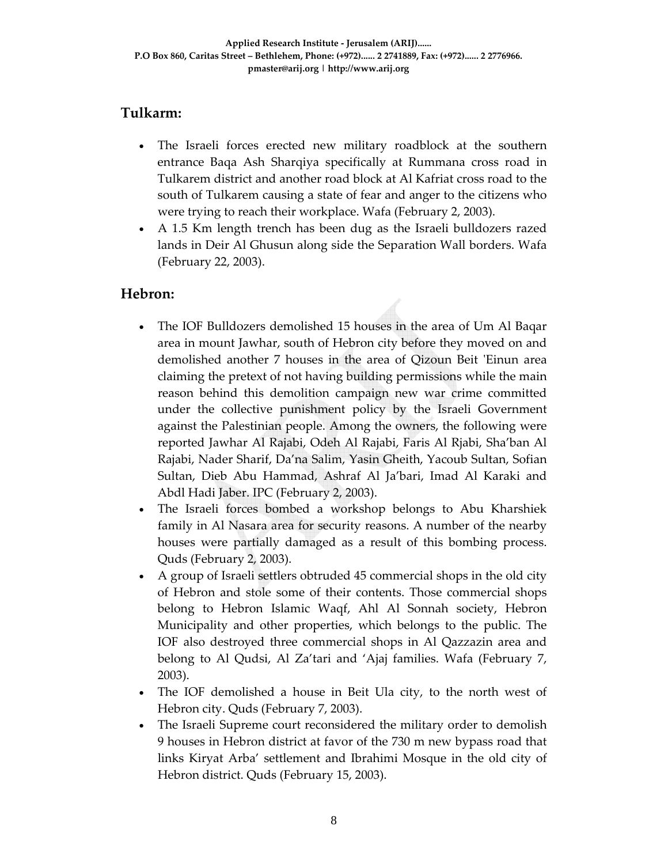## **Tulkarm:**

- The Israeli forces erected new military roadblock at the southern entrance Baqa Ash Sharqiya specifically at Rummana cross road in Tulkarem district and another road block at Al Kafriat cross road to the south of Tulkarem causing a state of fear and anger to the citizens who were trying to reach their workplace. Wafa (February 2, 2003).
- A 1.5 Km length trench has been dug as the Israeli bulldozers razed lands in Deir Al Ghusun along side the Separation Wall borders. Wafa (February 22, 2003).

## **Hebron:**

- The IOF Bulldozers demolished 15 houses in the area of Um Al Baqar area in mount Jawhar, south of Hebron city before they moved on and demolished another 7 houses in the area of Qizoun Beit 'Einun area claiming the pretext of not having building permissions while the main reason behind this demolition campaign new war crime committed under the collective punishment policy by the Israeli Government against the Palestinian people. Among the owners, the following were reported Jawhar Al Rajabi, Odeh Al Rajabi, Faris Al Rjabi, Sha'ban Al Rajabi, Nader Sharif, Da'na Salim, Yasin Gheith, Yacoub Sultan, Sofian Sultan, Dieb Abu Hammad, Ashraf Al Ja'bari, Imad Al Karaki and Abdl Hadi Jaber. IPC (February 2, 2003).
- The Israeli forces bombed a workshop belongs to Abu Kharshiek family in Al Nasara area for security reasons. A number of the nearby houses were partially damaged as a result of this bombing process. Quds (February 2, 2003).
- A group of Israeli settlers obtruded 45 commercial shops in the old city of Hebron and stole some of their contents. Those commercial shops belong to Hebron Islamic Waqf, Ahl Al Sonnah society, Hebron Municipality and other properties, which belongs to the public. The IOF also destroyed three commercial shops in Al Qazzazin area and belong to Al Qudsi, Al Za'tari and 'Ajaj families. Wafa (February 7, 2003).
- The IOF demolished a house in Beit Ula city, to the north west of Hebron city. Quds (February 7, 2003).
- The Israeli Supreme court reconsidered the military order to demolish 9 houses in Hebron district at favor of the 730 m new bypass road that links Kiryat Arba' settlement and Ibrahimi Mosque in the old city of Hebron district. Quds (February 15, 2003).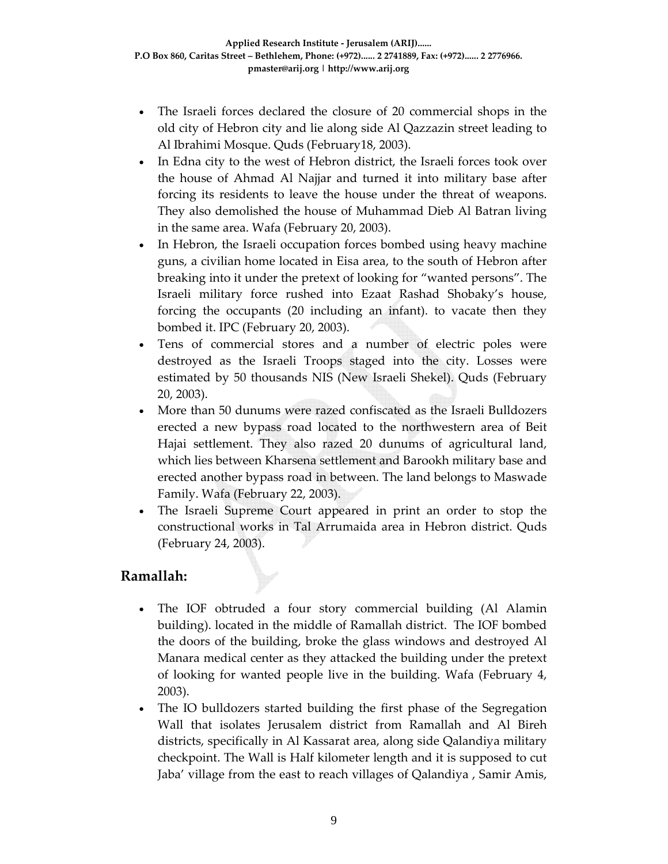- The Israeli forces declared the closure of 20 commercial shops in the old city of Hebron city and lie along side Al Qazzazin street leading to Al Ibrahimi Mosque. Quds (February18, 2003).
- In Edna city to the west of Hebron district, the Israeli forces took over the house of Ahmad Al Najjar and turned it into military base after forcing its residents to leave the house under the threat of weapons. They also demolished the house of Muhammad Dieb Al Batran living in the same area. Wafa (February 20, 2003).
- In Hebron, the Israeli occupation forces bombed using heavy machine guns, a civilian home located in Eisa area, to the south of Hebron after breaking into it under the pretext of looking for "wanted persons". The Israeli military force rushed into Ezaat Rashad Shobaky's house, forcing the occupants (20 including an infant). to vacate then they bombed it. IPC (February 20, 2003).
- Tens of commercial stores and a number of electric poles were destroyed as the Israeli Troops staged into the city. Losses were estimated by 50 thousands NIS (New Israeli Shekel). Quds (February 20, 2003).
- More than 50 dunums were razed confiscated as the Israeli Bulldozers erected a new bypass road located to the northwestern area of Beit Hajai settlement. They also razed 20 dunums of agricultural land, which lies between Kharsena settlement and Barookh military base and erected another bypass road in between. The land belongs to Maswade Family. Wafa (February 22, 2003).
- The Israeli Supreme Court appeared in print an order to stop the constructional works in Tal Arrumaida area in Hebron district. Quds (February 24, 2003).

## **Ramallah:**

- The IOF obtruded a four story commercial building (Al Alamin building). located in the middle of Ramallah district. The IOF bombed the doors of the building, broke the glass windows and destroyed Al Manara medical center as they attacked the building under the pretext of looking for wanted people live in the building. Wafa (February 4, 2003).
- The IO bulldozers started building the first phase of the Segregation Wall that isolates Jerusalem district from Ramallah and Al Bireh districts, specifically in Al Kassarat area, along side Qalandiya military checkpoint. The Wall is Half kilometer length and it is supposed to cut Jaba' village from the east to reach villages of Qalandiya , Samir Amis,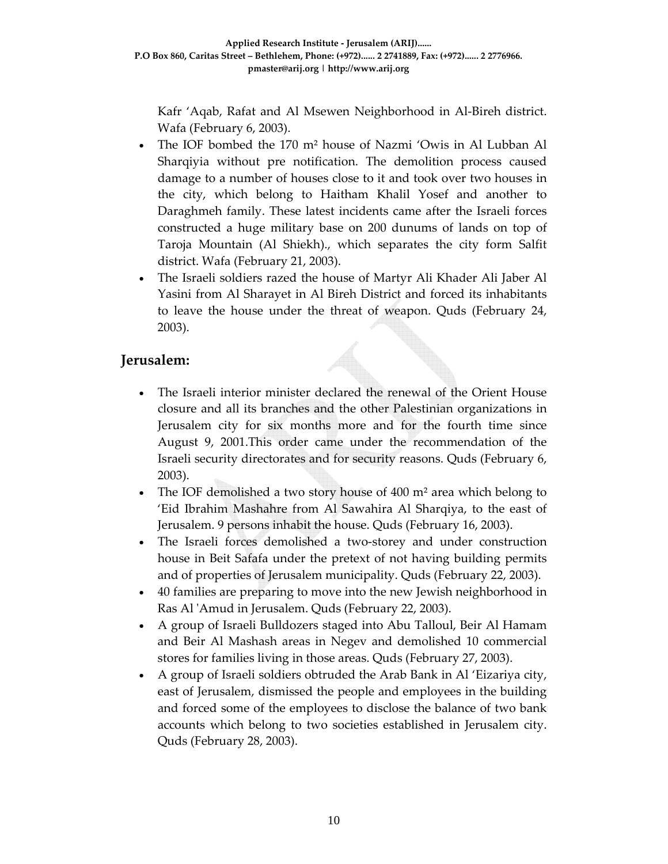Kafr 'Aqab, Rafat and Al Msewen Neighborhood in Al‐Bireh district. Wafa (February 6, 2003).

- The IOF bombed the 170 m² house of Nazmi 'Owis in Al Lubban Al Sharqiyia without pre notification. The demolition process caused damage to a number of houses close to it and took over two houses in the city, which belong to Haitham Khalil Yosef and another to Daraghmeh family. These latest incidents came after the Israeli forces constructed a huge military base on 200 dunums of lands on top of Taroja Mountain (Al Shiekh)., which separates the city form Salfit district. Wafa (February 21, 2003).
- The Israeli soldiers razed the house of Martyr Ali Khader Ali Jaber Al Yasini from Al Sharayet in Al Bireh District and forced its inhabitants to leave the house under the threat of weapon. Quds (February 24, 2003).

#### **Jerusalem:**

- The Israeli interior minister declared the renewal of the Orient House closure and all its branches and the other Palestinian organizations in Jerusalem city for six months more and for the fourth time since August 9, 2001.This order came under the recommendation of the Israeli security directorates and for security reasons. Quds (February 6, 2003).
- The IOF demolished a two story house of 400 m<sup>2</sup> area which belong to 'Eid Ibrahim Mashahre from Al Sawahira Al Sharqiya, to the east of Jerusalem. 9 persons inhabit the house. Quds (February 16, 2003).
- The Israeli forces demolished a two-storey and under construction house in Beit Safafa under the pretext of not having building permits and of properties of Jerusalem municipality. Quds (February 22, 2003).
- 40 families are preparing to move into the new Jewish neighborhood in Ras Al ʹAmud in Jerusalem. Quds (February 22, 2003).
- A group of Israeli Bulldozers staged into Abu Talloul, Beir Al Hamam and Beir Al Mashash areas in Negev and demolished 10 commercial stores for families living in those areas. Quds (February 27, 2003).
- A group of Israeli soldiers obtruded the Arab Bank in Al 'Eizariya city, east of Jerusalem, dismissed the people and employees in the building and forced some of the employees to disclose the balance of two bank accounts which belong to two societies established in Jerusalem city. Quds (February 28, 2003).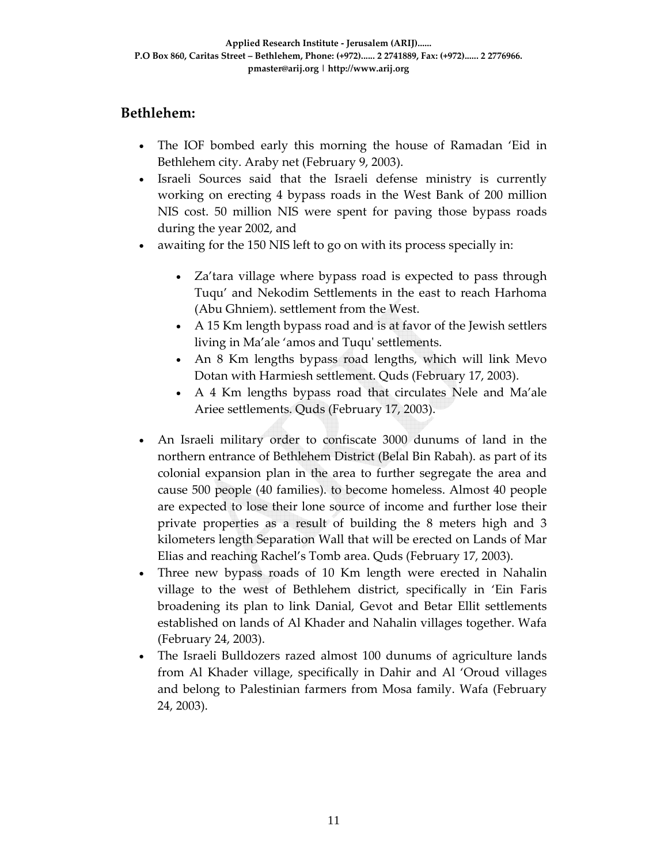## **Bethlehem:**

- The IOF bombed early this morning the house of Ramadan 'Eid in Bethlehem city. Araby net (February 9, 2003).
- Israeli Sources said that the Israeli defense ministry is currently working on erecting 4 bypass roads in the West Bank of 200 million NIS cost. 50 million NIS were spent for paving those bypass roads during the year 2002, and
- awaiting for the 150 NIS left to go on with its process specially in:
	- Za'tara village where bypass road is expected to pass through Tuqu' and Nekodim Settlements in the east to reach Harhoma (Abu Ghniem). settlement from the West.
	- A 15 Km length bypass road and is at favor of the Jewish settlers living in Ma'ale 'amos and Tuquʹ settlements.
	- An 8 Km lengths bypass road lengths, which will link Mevo Dotan with Harmiesh settlement. Quds (February 17, 2003).
	- A 4 Km lengths bypass road that circulates Nele and Ma'ale Ariee settlements. Quds (February 17, 2003).
- An Israeli military order to confiscate 3000 dunums of land in the northern entrance of Bethlehem District (Belal Bin Rabah). as part of its colonial expansion plan in the area to further segregate the area and cause 500 people (40 families). to become homeless. Almost 40 people are expected to lose their lone source of income and further lose their private properties as a result of building the 8 meters high and 3 kilometers length Separation Wall that will be erected on Lands of Mar Elias and reaching Rachel's Tomb area. Quds (February 17, 2003).
- Three new bypass roads of 10 Km length were erected in Nahalin village to the west of Bethlehem district, specifically in 'Ein Faris broadening its plan to link Danial, Gevot and Betar Ellit settlements established on lands of Al Khader and Nahalin villages together. Wafa (February 24, 2003).
- The Israeli Bulldozers razed almost 100 dunums of agriculture lands from Al Khader village, specifically in Dahir and Al 'Oroud villages and belong to Palestinian farmers from Mosa family. Wafa (February 24, 2003).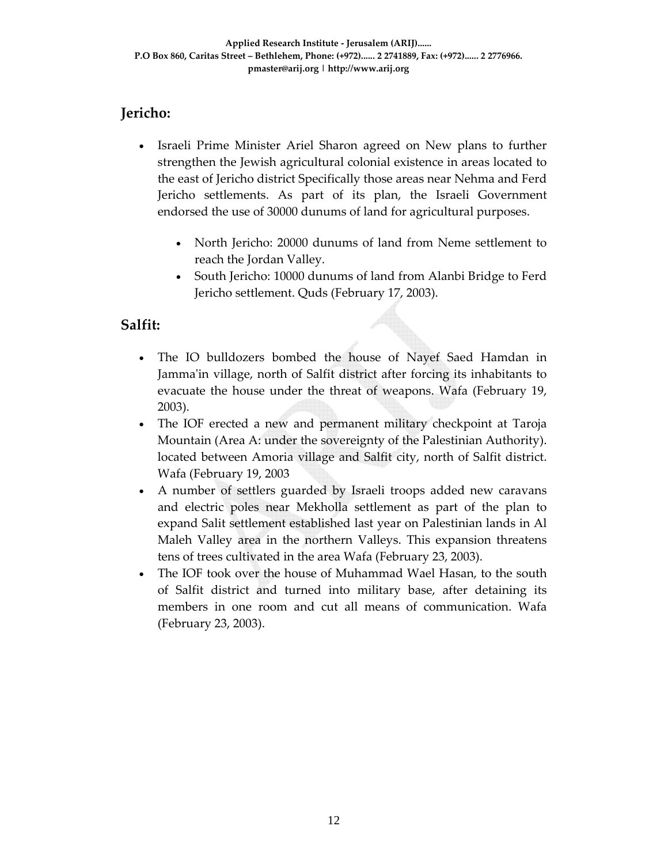# **Jericho:**

- Israeli Prime Minister Ariel Sharon agreed on New plans to further strengthen the Jewish agricultural colonial existence in areas located to the east of Jericho district Specifically those areas near Nehma and Ferd Jericho settlements. As part of its plan, the Israeli Government endorsed the use of 30000 dunums of land for agricultural purposes.
	- North Jericho: 20000 dunums of land from Neme settlement to reach the Jordan Valley.
	- South Jericho: 10000 dunums of land from Alanbi Bridge to Ferd Jericho settlement. Quds (February 17, 2003).

#### **Salfit:**

- The IO bulldozers bombed the house of Nayef Saed Hamdan in Jamma'in village, north of Salfit district after forcing its inhabitants to evacuate the house under the threat of weapons. Wafa (February 19, 2003).
- The IOF erected a new and permanent military checkpoint at Taroja Mountain (Area A: under the sovereignty of the Palestinian Authority). located between Amoria village and Salfit city, north of Salfit district. Wafa (February 19, 2003
- A number of settlers guarded by Israeli troops added new caravans and electric poles near Mekholla settlement as part of the plan to expand Salit settlement established last year on Palestinian lands in Al Maleh Valley area in the northern Valleys. This expansion threatens tens of trees cultivated in the area Wafa (February 23, 2003).
- The IOF took over the house of Muhammad Wael Hasan, to the south of Salfit district and turned into military base, after detaining its members in one room and cut all means of communication. Wafa (February 23, 2003).